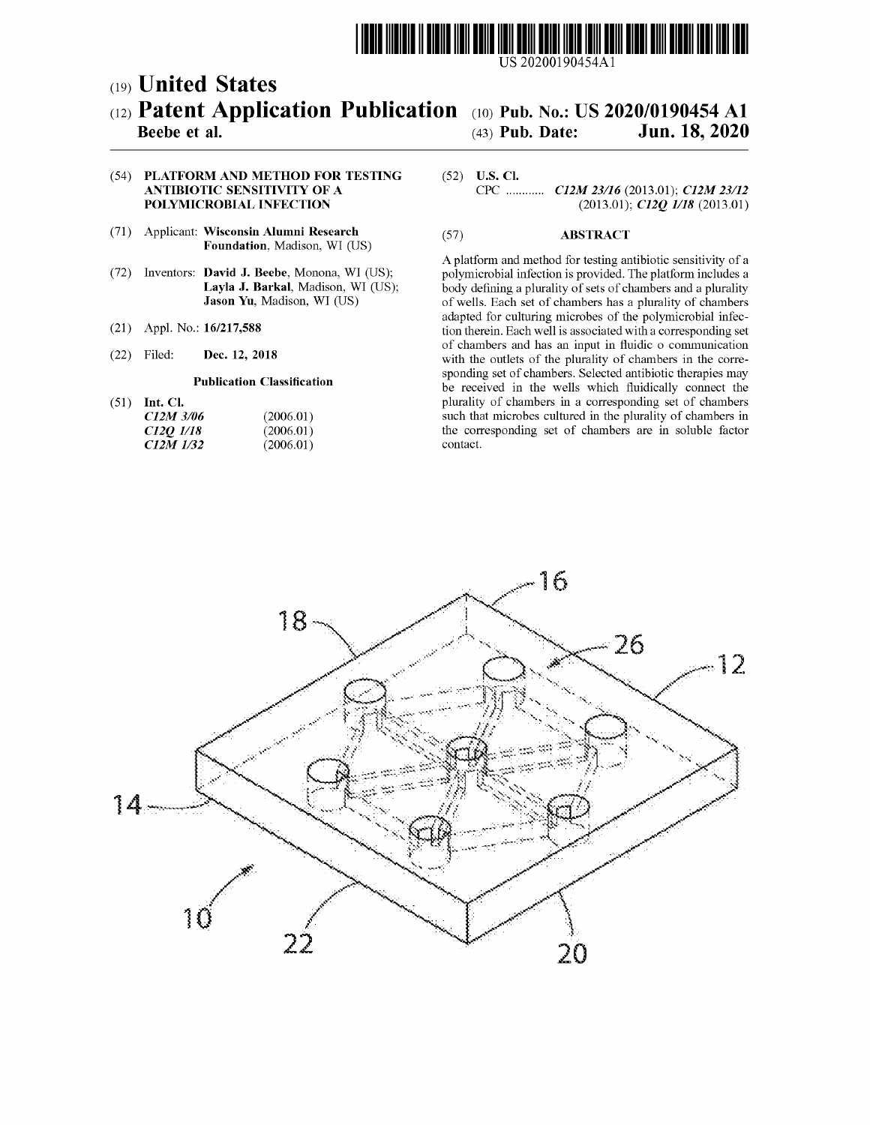

US 20200190454Al

# c19) **United States**  c12) **Patent Application Publication**  c10) **Pub. No.: US 2020/0190454 Al**

# (43) **Pub. Date: Jun. 18, 2020**

# **Beebe et al.**

## (54) **PLATFORM AND METHOD FOR TESTING ANTIBIOTIC SENSITIVITY OF A POLYMICROBIAL INFECTION**

- (71) Applicant: **Wisconsin Alumni Research Foundation,** Madison, WI (US)
- (72) Inventors: **David J. Beebe,** Monona, WI (US); **Layla J. Barkal,** Madison, WI (US); **Jason Yu,** Madison, WI (US)
- (21) Appl. No.: **16/217,588**
- (22) Filed: **Dec. 12, 2018**

### **Publication Classification**

(51) **Int. Cl.** 

| C12M 3/06 | (2006.01) |
|-----------|-----------|
| C120 1/18 | (2006.01) |
| C12M 1/32 | (2006.01) |

# (52) **U.S. Cl.**

CPC ............ *C12M 23116* (2013.01); *C12M 23112*  (2013.01); *C12Q 1118* (2013.01)

# (57) **ABSTRACT**

A platform and method for testing antibiotic sensitivity of a polymicrobial infection is provided. The platform includes a body defining a plurality of sets of chambers and a plurality of wells. Each set of chambers has a plurality of chambers adapted for culturing microbes of the polymicrobial infection therein. Each well is associated with a corresponding set of chambers and has an input in fluidic o communication with the outlets of the plurality of chambers in the corresponding set of chambers. Selected antibiotic therapies may be received in the wells which fluidically connect the plurality of chambers in a corresponding set of chambers such that microbes cultured in the plurality of chambers in the corresponding set of chambers are in soluble factor contact.

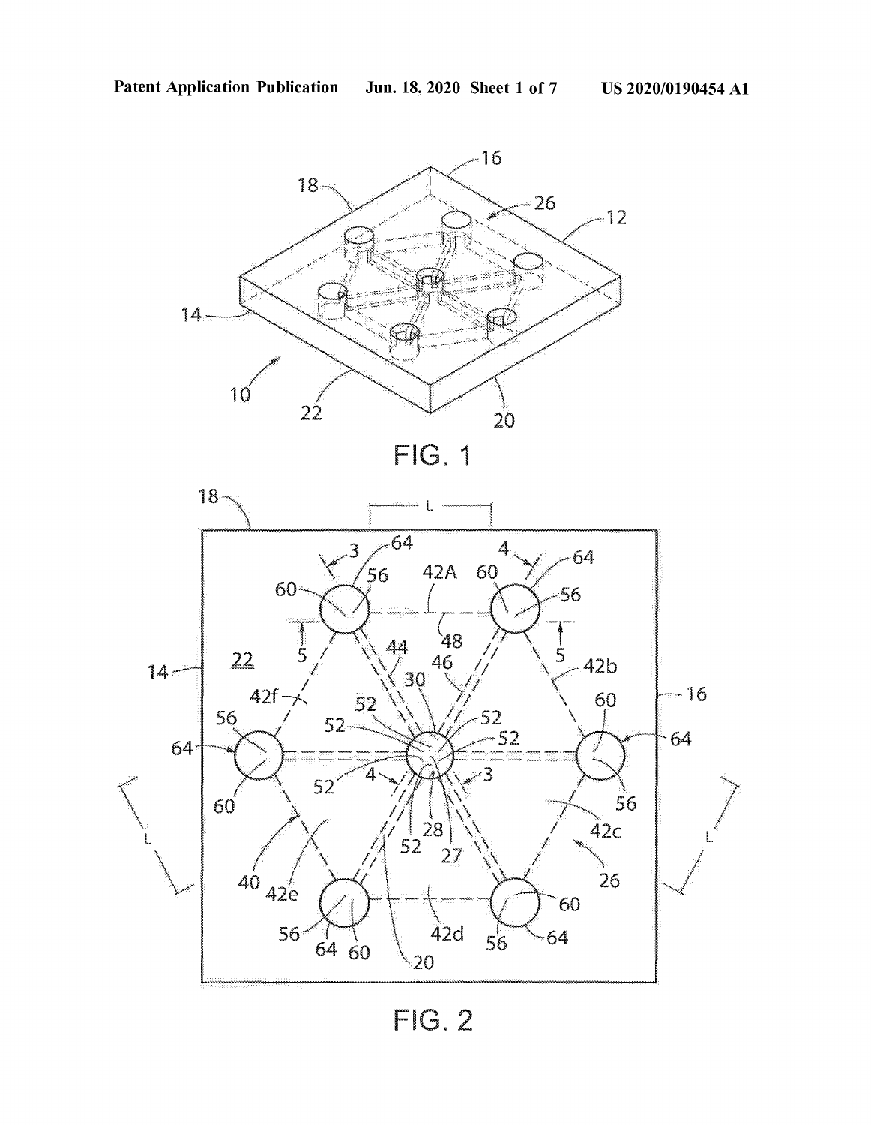





FIG. 2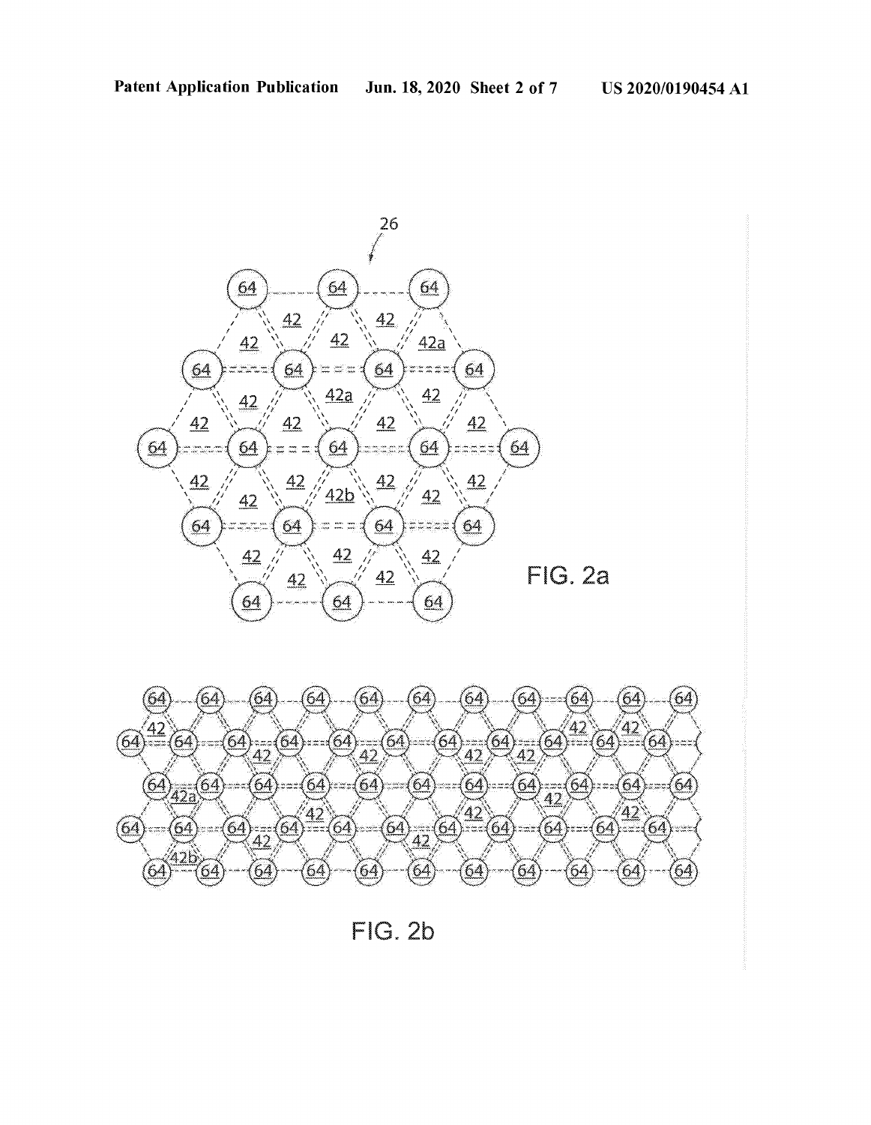



FIG. 2b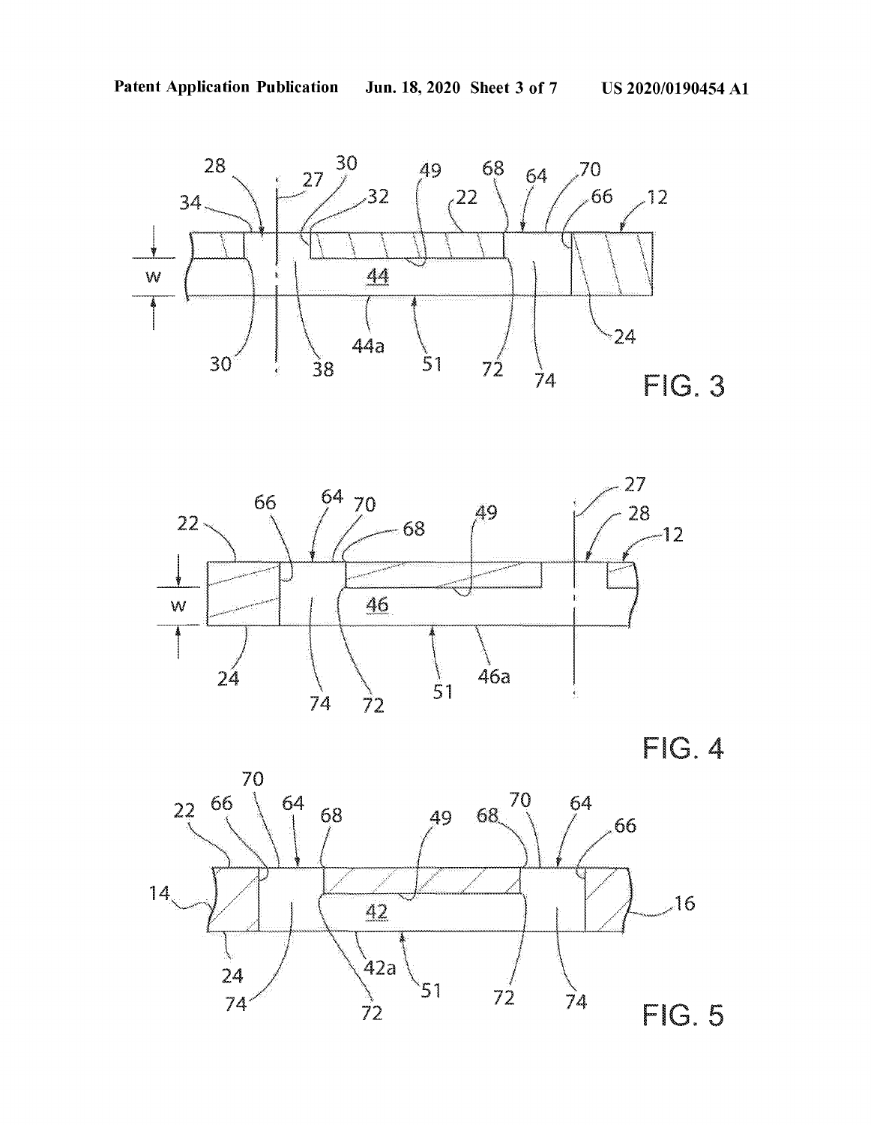





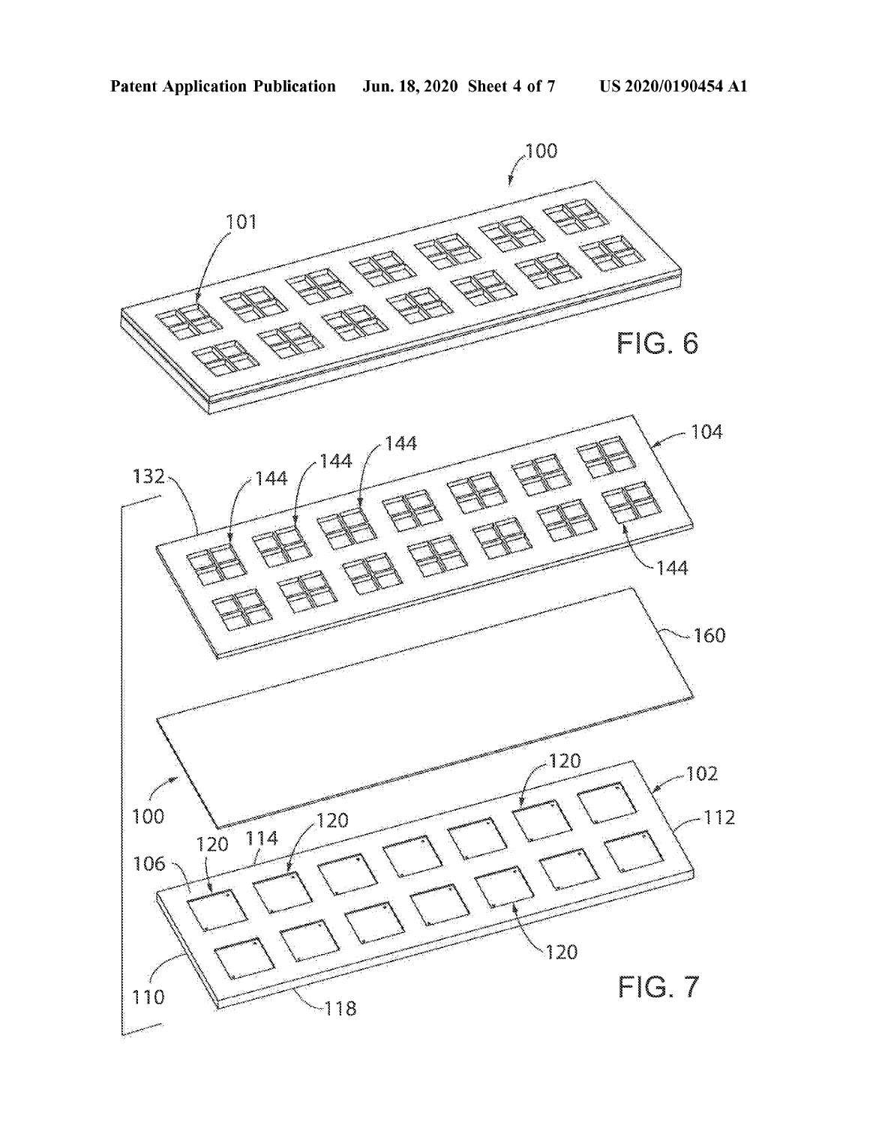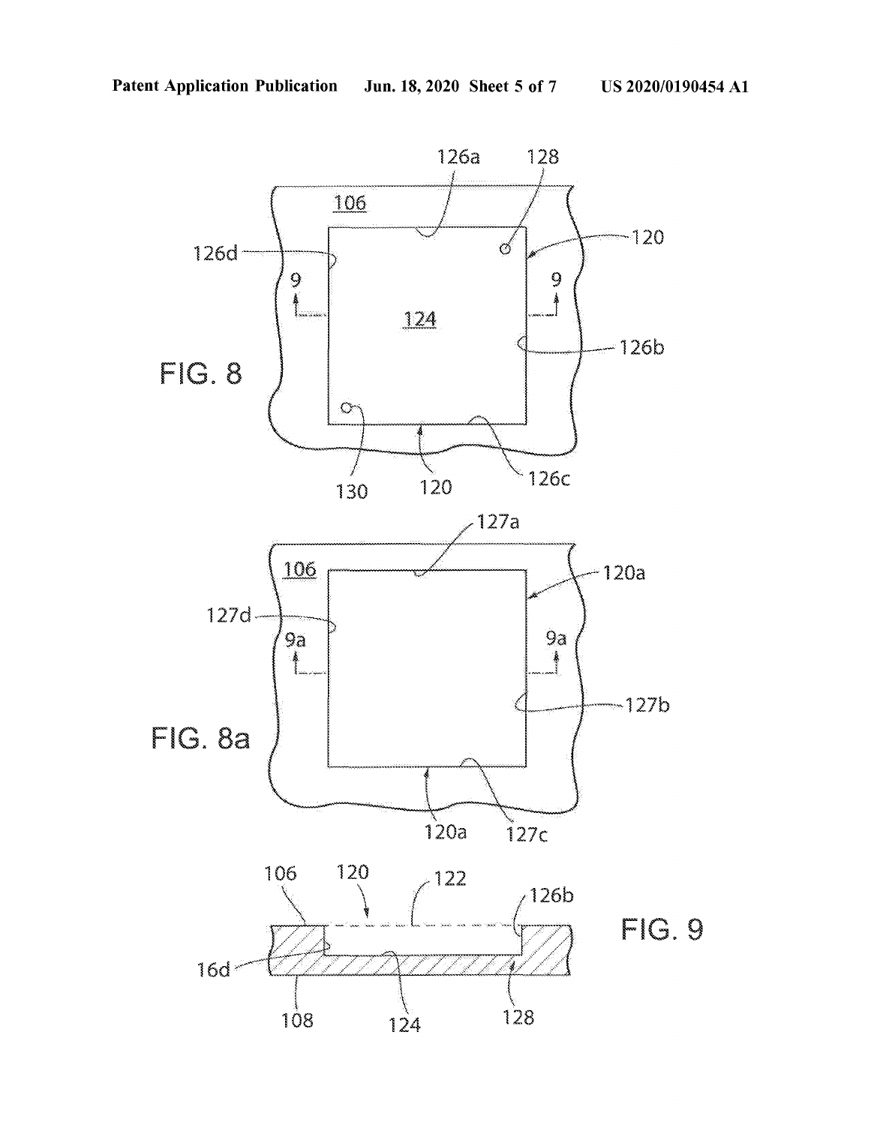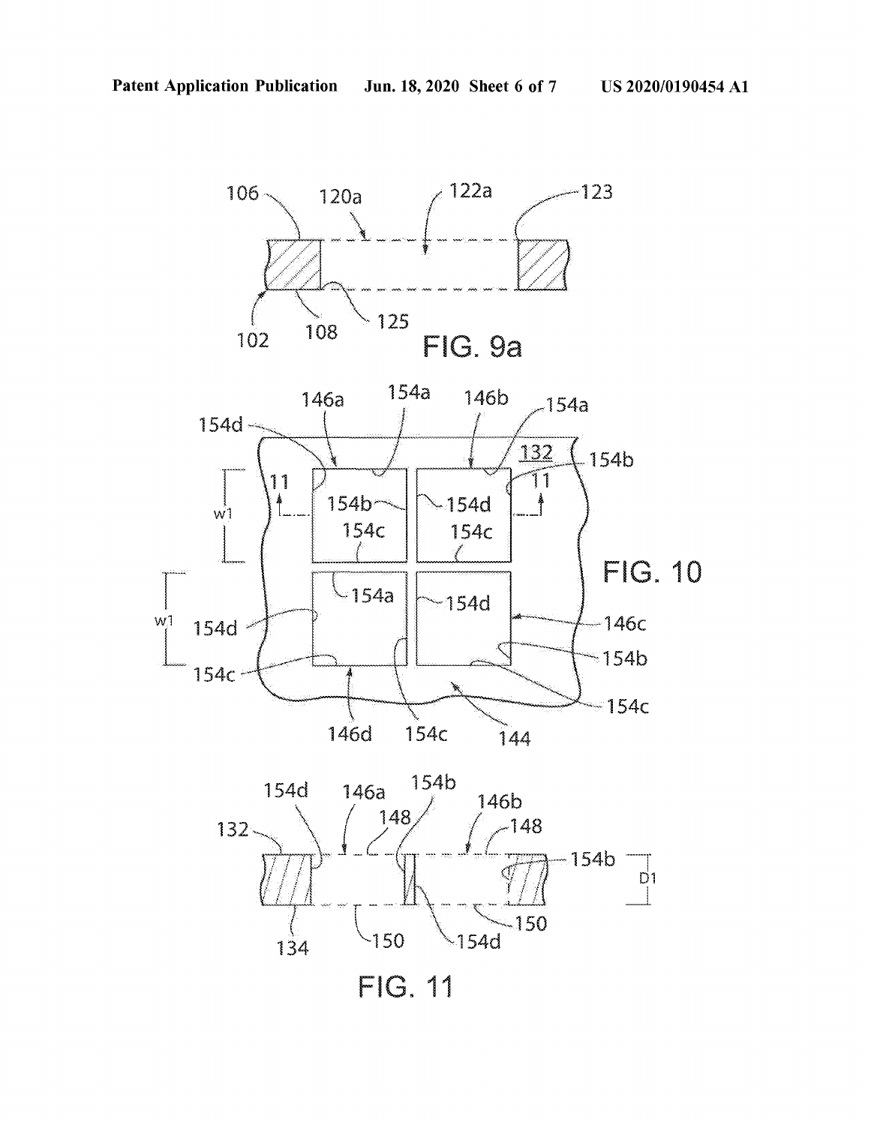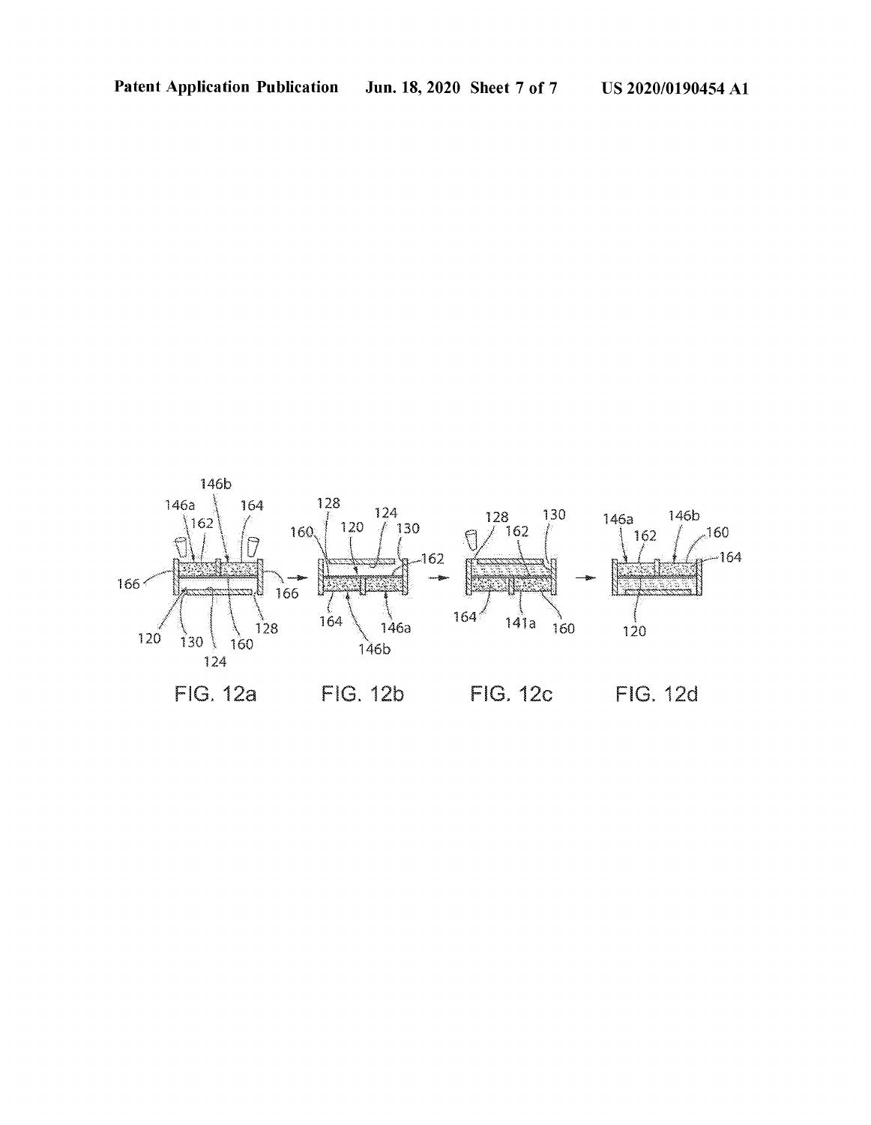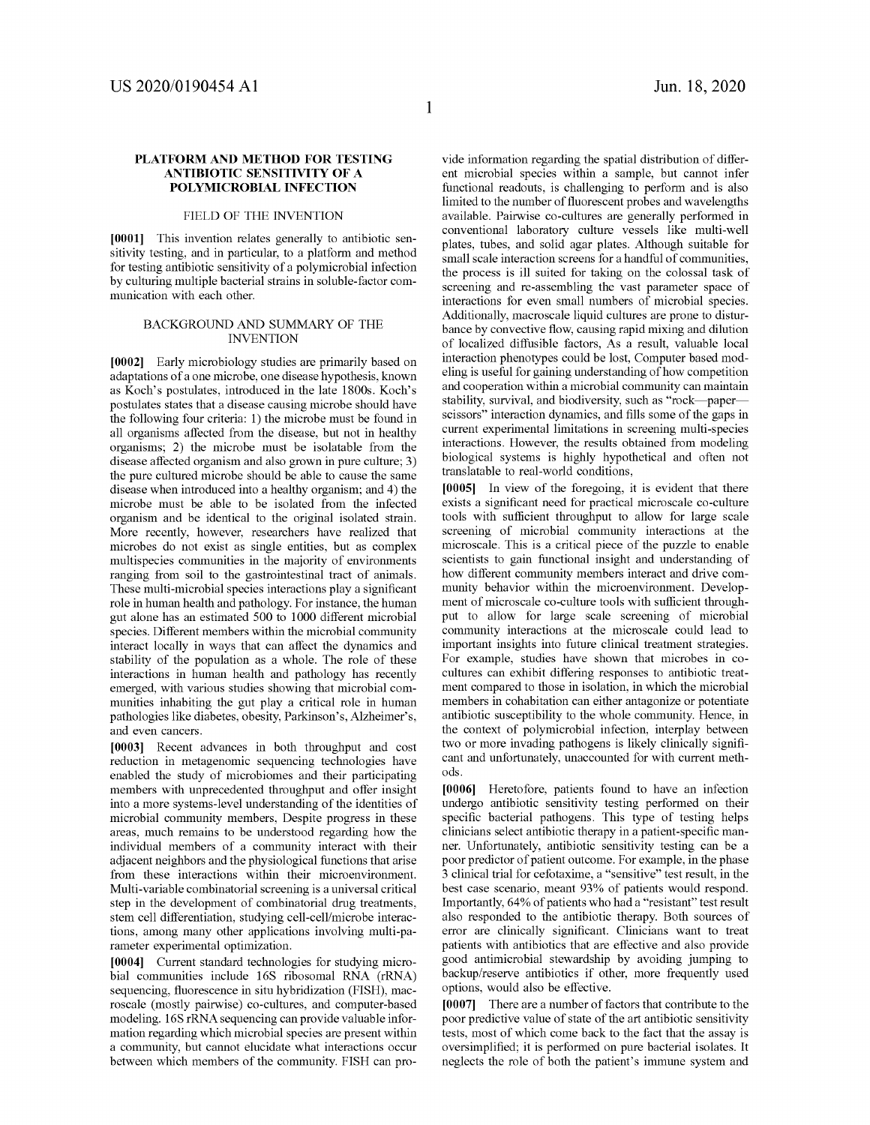## **PLATFORM AND METHOD FOR TESTING ANTIBIOTIC SENSITIVITY OF A POLYMICROBIAL INFECTION**

# FIELD OF THE INVENTION

**[0001]** This invention relates generally to antibiotic sensitivity testing, and in particular, to a platform and method for testing antibiotic sensitivity of a polymicrobial infection by culturing multiple bacterial strains in soluble-factor communication with each other.

#### BACKGROUND AND SUMMARY OF THE INVENTION

**[0002]** Early microbiology studies are primarily based on adaptations of a one microbe, one disease hypothesis, known as Koch's postulates, introduced in the late 1800s. Koch's postulates states that a disease causing microbe should have the following four criteria: 1) the microbe must be found in all organisms affected from the disease, but not in healthy organisms; 2) the microbe must be isolatable from the disease affected organism and also grown in pure culture; 3) the pure cultured microbe should be able to cause the same disease when introduced into a healthy organism; and 4) the microbe must be able to be isolated from the infected organism and be identical to the original isolated strain. More recently, however, researchers have realized that microbes do not exist as single entities, but as complex multispecies communities in the majority of environments ranging from soil to the gastrointestinal tract of animals. These multi-microbial species interactions play a significant role in human health and pathology. For instance, the human gut alone has an estimated 500 to 1000 different microbial species. Different members within the microbial community interact locally in ways that can affect the dynamics and stability of the population as a whole. The role of these interactions in human health and pathology has recently emerged, with various studies showing that microbial communities inhabiting the gut play a critical role in human pathologies like diabetes, obesity, Parkinson's, Alzheimer's, and even cancers.

**[0003]** Recent advances in both throughput and cost reduction in metagenomic sequencing technologies have enabled the study of microbiomes and their participating members with unprecedented throughput and offer insight into a more systems-level understanding of the identities of microbial community members, Despite progress in these areas, much remains to be understood regarding how the individual members of a community interact with their adjacent neighbors and the physiological functions that arise from these interactions within their microenvironment. Multi-variable combinatorial screening is a universal critical step in the development of combinatorial drug treatments, stem cell differentiation, studying cell-cell/microbe interactions, among many other applications involving multi-parameter experimental optimization.

**[0004]** Current standard technologies for studying microbial communities include 16S ribosomal RNA (rRNA) sequencing, fluorescence in situ hybridization (FISH), macroscale (mostly pairwise) co-cultures, and computer-based modeling. 16S rRNA sequencing can provide valuable information regarding which microbial species are present within a community, but cannot elucidate what interactions occur between which members of the community. FISH can provide information regarding the spatial distribution of different microbial species within a sample, but cannot infer functional readouts, is challenging to perform and is also limited to the number of fluorescent probes and wavelengths available. Pairwise co-cultures are generally performed in conventional laboratory culture vessels like multi-well plates, tubes, and solid agar plates. Although suitable for small scale interaction screens for a handful of communities, the process is ill suited for taking on the colossal task of screening and re-assembling the vast parameter space of interactions for even small numbers of microbial species. Additionally, macroscale liquid cultures are prone to disturbance by convective flow, causing rapid mixing and dilution of localized diffusible factors, As a result, valuable local interaction phenotypes could be lost, Computer based modeling is useful for gaining understanding of how competition and cooperation within a microbial community can maintain stability, survival, and biodiversity, such as "rock-paperscissors" interaction dynamics, and fills some of the gaps in current experimental limitations in screening multi-species interactions. However, the results obtained from modeling biological systems is highly hypothetical and often not translatable to real-world conditions,

**[0005]** In view of the foregoing, it is evident that there exists a significant need for practical microscale co-culture tools with sufficient throughput to allow for large scale screening of microbial community interactions at the microscale. This is a critical piece of the puzzle to enable scientists to gain functional insight and understanding of how different community members interact and drive community behavior within the microenvironment. Development of microscale co-culture tools with sufficient throughput to allow for large scale screening of microbial community interactions at the microscale could lead to important insights into future clinical treatment strategies. For example, studies have shown that microbes in cocultures can exhibit differing responses to antibiotic treatment compared to those in isolation, in which the microbial members in cohabitation can either antagonize or potentiate antibiotic susceptibility to the whole community. Hence, in the context of polymicrobial infection, interplay between two or more invading pathogens is likely clinically significant and unfortunately, unaccounted for with current methods.

**[0006]** Heretofore, patients found to have an infection undergo antibiotic sensitivity testing performed on their specific bacterial pathogens. This type of testing helps clinicians select antibiotic therapy in a patient-specific manner. Unfortunately, antibiotic sensitivity testing can be a poor predictor of patient outcome. For example, in the phase 3 clinical trial for cefotaxime, a "sensitive" test result, in the best case scenario, meant 93% of patients would respond. Importantly, 64% of patients who had a "resistant" test result also responded to the antibiotic therapy. Both sources of error are clinically significant. Clinicians want to treat patients with antibiotics that are effective and also provide good antimicrobial stewardship by avoiding jumping to backup/reserve antibiotics if other, more frequently used options, would also be effective.

**[0007]** There are a number of factors that contribute to the poor predictive value of state of the art antibiotic sensitivity tests, most of which come back to the fact that the assay is oversimplified; it is performed on pure bacterial isolates. It neglects the role of both the patient's immune system and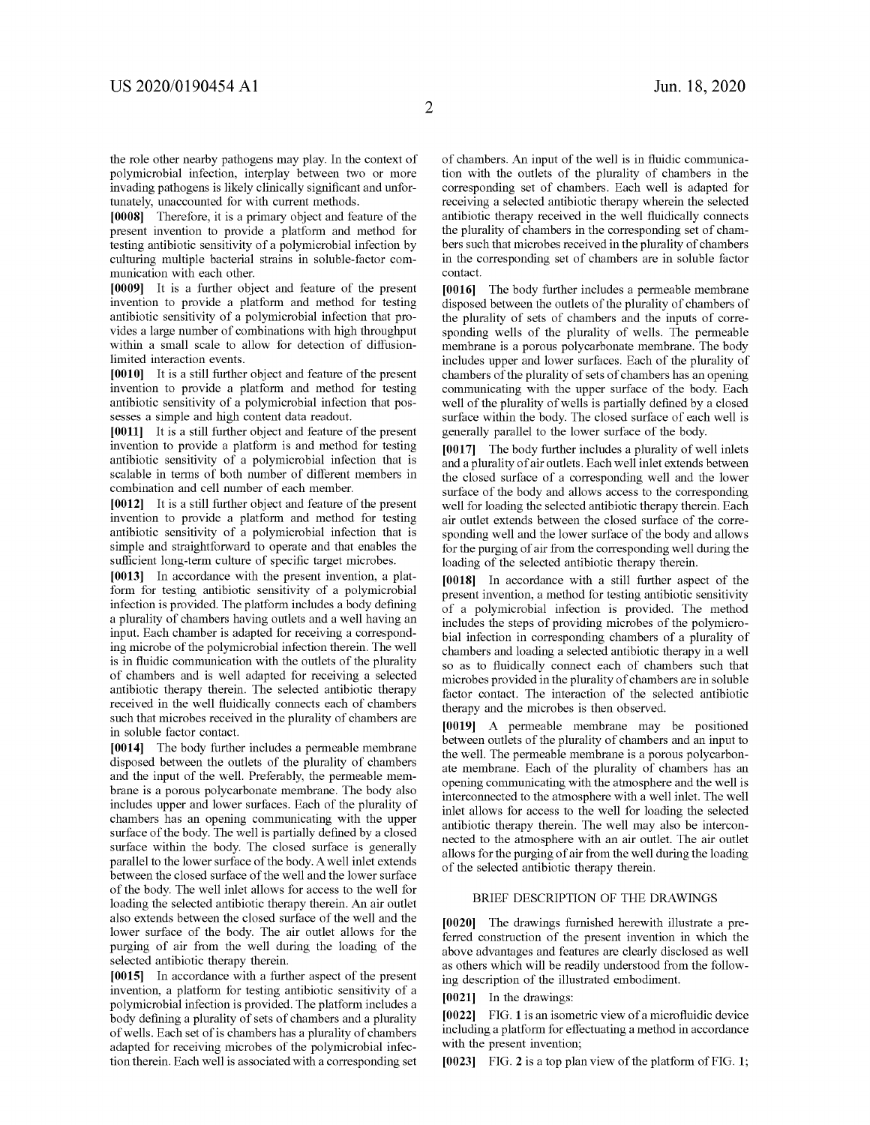**2** 

the role other nearby pathogens may play. In the context of polymicrobial infection, interplay between two or more invading pathogens is likely clinically significant and unfortunately, unaccounted for with current methods.

**[0008]** Therefore, it is a primary object and feature of the present invention to provide a platform and method for testing antibiotic sensitivity of a polymicrobial infection by culturing multiple bacterial strains in soluble-factor communication with each other.

**[0009]** It is a further object and feature of the present invention to provide a platform and method for testing antibiotic sensitivity of a polymicrobial infection that provides a large number of combinations with high throughput within a small scale to allow for detection of diffusionlimited interaction events.

**[0010]** It is a still further object and feature of the present invention to provide a platform and method for testing antibiotic sensitivity of a polymicrobial infection that possesses a simple and high content data readout.

**[0011]** It is a still further object and feature of the present invention to provide a platform is and method for testing antibiotic sensitivity of a polymicrobial infection that is scalable in terms of both number of different members in combination and cell number of each member.

**[0012]** It is a still further object and feature of the present invention to provide a platform and method for testing antibiotic sensitivity of a polymicrobial infection that is simple and straightforward to operate and that enables the sufficient long-term culture of specific target microbes.

**[0013]** In accordance with the present invention, a platform for testing antibiotic sensitivity of a polymicrobial infection is provided. The platform includes a body defining a plurality of chambers having outlets and a well having an input. Each chamber is adapted for receiving a corresponding microbe of the polymicrobial infection therein. The well is in fluidic communication with the outlets of the plurality of chambers and is well adapted for receiving a selected antibiotic therapy therein. The selected antibiotic therapy received in the well fluidically connects each of chambers such that microbes received in the plurality of chambers are in soluble factor contact.

**[0014]** The body further includes a permeable membrane disposed between the outlets of the plurality of chambers and the input of the well. Preferably, the permeable membrane is a porous polycarbonate membrane. The body also includes upper and lower surfaces. Each of the plurality of chambers has an opening communicating with the upper surface of the body. The well is partially defined by a closed surface within the body. The closed surface is generally parallel to the lower surface of the body. A well inlet extends between the closed surface of the well and the lower surface of the body. The well inlet allows for access to the well for loading the selected antibiotic therapy therein. An air outlet also extends between the closed surface of the well and the lower surface of the body. The air outlet allows for the purging of air from the well during the loading of the selected antibiotic therapy therein.

**[0015]** In accordance with a further aspect of the present invention, a platform for testing antibiotic sensitivity of a polymicrobial infection is provided. The platform includes a body defining a plurality of sets of chambers and a plurality of wells. Each set of is chambers has a plurality of chambers adapted for receiving microbes of the polymicrobial infection therein. Each well is associated with a corresponding set of chambers. An input of the well is in fluidic communication with the outlets of the plurality of chambers in the corresponding set of chambers. Each well is adapted for receiving a selected antibiotic therapy wherein the selected antibiotic therapy received in the well fluidically connects the plurality of chambers in the corresponding set of chambers such that microbes received in the plurality of chambers in the corresponding set of chambers are in soluble factor contact.

**[0016]** The body further includes a permeable membrane disposed between the outlets of the plurality of chambers of the plurality of sets of chambers and the inputs of corresponding wells of the plurality of wells. The permeable membrane is a porous polycarbonate membrane. The body includes upper and lower surfaces. Each of the plurality of chambers of the plurality of sets of chambers has an opening communicating with the upper surface of the body. Each well of the plurality of wells is partially defined by a closed surface within the body. The closed surface of each well is generally parallel to the lower surface of the body.

**[0017]** The body further includes a plurality of well inlets and a plurality of air outlets. Each well inlet extends between the closed surface of a corresponding well and the lower surface of the body and allows access to the corresponding well for loading the selected antibiotic therapy therein. Each air outlet extends between the closed surface of the corresponding well and the lower surface of the body and allows for the purging of air from the corresponding well during the loading of the selected antibiotic therapy therein.

**[0018]** In accordance with a still further aspect of the present invention, a method for testing antibiotic sensitivity of a polymicrobial infection is provided. The method includes the steps of providing microbes of the polymicrobial infection in corresponding chambers of a plurality of chambers and loading a selected antibiotic therapy in a well so as to fluidically connect each of chambers such that microbes provided in the plurality of chambers are in soluble factor contact. The interaction of the selected antibiotic therapy and the microbes is then observed.

**[0019]** A permeable membrane may be positioned between outlets of the plurality of chambers and an input to the well. The permeable membrane is a porous polycarbonate membrane. Each of the plurality of chambers has an opening communicating with the atmosphere and the well is interconnected to the atmosphere with a well inlet. The well inlet allows for access to the well for loading the selected antibiotic therapy therein. The well may also be interconnected to the atmosphere with an air outlet. The air outlet allows for the purging of air from the well during the loading of the selected antibiotic therapy therein.

## BRIEF DESCRIPTION OF THE DRAWINGS

**[0020]** The drawings furnished herewith illustrate a preferred construction of the present invention in which the above advantages and features are clearly disclosed as well as others which will be readily understood from the following description of the illustrated embodiment.

**[0021]** In the drawings:

**[0022]** FIG. **1** is an isometric view of a microfluidic device including a platform for effectuating a method in accordance with the present invention;

**[0023]** FIG. **2** is a top plan view of the platform of FIG. **1;**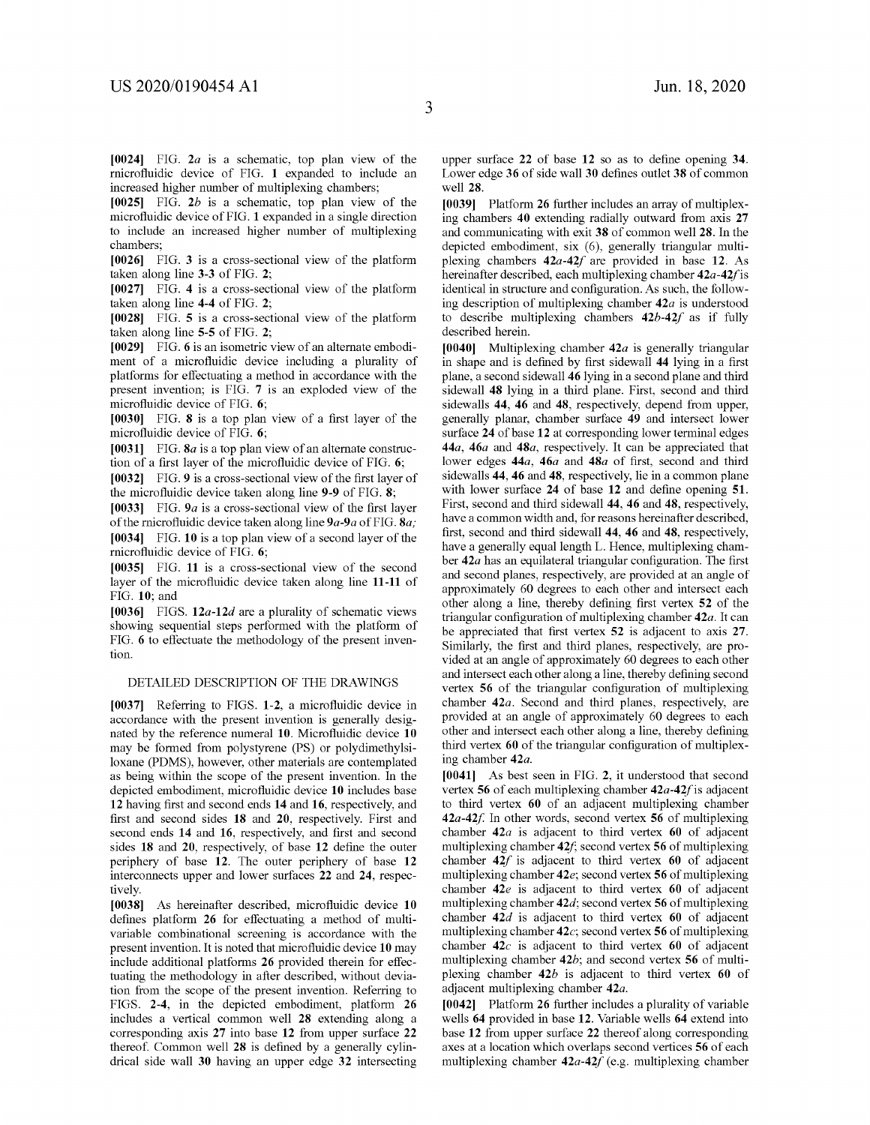**[0024]** FIG. *2a* is a schematic, top plan view of the rnicrofluidic device of FIG. **1** expanded to include an increased higher number of multiplexing chambers;

**[0025]** FIG. *2b* is a schematic, top plan view of the microfluidic device of FIG. **1** expanded in a single direction to include an increased higher number of multiplexing chambers;

**[0026]** FIG. **3** is a cross-sectional view of the platform taken along line **3-3** of FIG. **2;** 

**[0027]** FIG. **4** is a cross-sectional view of the platform taken along line **4-4** of FIG. **2;** 

**[0028]** FIG. **5** is a cross-sectional view of the platform taken along line **5-5** of FIG. **2;** 

**[0029]** FIG. **6** is an isometric view of an alternate embodiment of a microfluidic device including a plurality of platforms for effectuating a method in accordance with the present invention; is FIG. **7** is an exploded view of the microfluidic device of FIG. **6;** 

**[0030]** FIG. **8** is a top plan view of a first layer of the microfluidic device of FIG. **6;** 

**[0031]** FIG. *Sa* is a top plan view of an alternate construction of a first layer of the microfluidic device of FIG. **6;** 

**[0032]** FIG. **9** is a cross-sectional view of the first layer of the microfluidic device taken along line **9-9** of FIG. **8;** 

**[0033]** FIG. *9a* is a cross-sectional view of the first layer of the rnicrofluidic device taken along line *9a-9a* of FIG. *Sa;*  **[0034]** FIG. **10** is a top plan view of a second layer of the rnicrofluidic device of FIG. **6;** 

**[0035]** FIG. **11** is a cross-sectional view of the second layer of the microfluidic device taken along line **11-11** of FIG. **10;** and

**[0036]** FIGS. **12a-12d** are a plurality of schematic views showing sequential steps performed with the platform of FIG. **6** to effectuate the methodology of the present invention.

#### DETAILED DESCRIPTION OF THE DRAWINGS

**[0037]** Referring to FIGS. **1-2,** a microfluidic device in accordance with the present invention is generally designated by the reference numeral **10.** Microfluidic device **10**  may be formed from polystyrene (PS) or polydimethylsiloxane (PDMS), however, other materials are contemplated as being within the scope of the present invention. In the depicted embodiment, microfluidic device **10** includes base **12** having first and second ends **14** and **16,** respectively, and first and second sides **18 and 20,** respectively. First and second ends **14** and **16,** respectively, and first and second sides **18** and **20,** respectively, of base **12** define the outer periphery of base **12.** The outer periphery of base **12**  interconnects upper and lower surfaces **22** and **24,** respectively.

**[0038]** As hereinafter described, microfluidic device **10**  defines platform **26** for effectuating a method of multivariable combinational screening is accordance with the present invention. It is noted that microfluidic device **10** may include additional platforms **26** provided therein for effectuating the methodology in after described, without deviation from the scope of the present invention. Referring to FIGS. **2-4,** in the depicted embodiment, platform **26**  includes a vertical common well **28** extending along a corresponding axis **27** into base **12** from upper surface **22**  thereof. Common well **28** is defined by a generally cylindrical side wall **30** having an upper edge **32** intersecting upper surface **22** of base **12** so as to define opening **34.**  Lower edge **36** of side wall **30** defines outlet **38** of common well **28.** 

**[0039]** Platform **26** further includes an array of multiplexing chambers **40** extending radially outward from axis **27**  and communicating with exit **38** of common well **28.** In the depicted embodiment, six (6), generally triangular multiplexing chambers **42a-42/** are provided in base **12.** As hereinafter described, each multiplexing chamber *42a-42f* is identical in structure and configuration. As such, the following description of multiplexing chamber *42a* is understood to describe multiplexing chambers **42b-42/** as if fully described herein.

**[0040]** Multiplexing chamber *42a* is generally triangular in shape and is defined by first sidewall **44** lying in a first plane, a second sidewall **46** lying in a second plane and third sidewall **48** lying in a third plane. First, second and third sidewalls **44, 46 and 48,** respectively, depend from upper, generally planar, chamber surface **49** and intersect lower surface **24** of base **12** at corresponding lower terminal edges *44a, 46a* **and** *48a,* respectively. It can be appreciated that lower edges *44a, 46a* and *48a* of first, second and third sidewalls **44, 46 and 48,** respectively, lie in a common plane with lower surface **24** of base **12** and define opening **51.**  First, second and third sidewall **44, 46 and 48,** respectively, have a common width and, for reasons hereinafter described, first, second and third sidewall **44, 46** and **48,** respectively, have a generally equal length L. Hence, multiplexing chamber *42a* has an equilateral triangular configuration. The first and second planes, respectively, are provided at an angle of approximately 60 degrees to each other and intersect each other along a line, thereby defining first vertex **52** of the triangular configuration of multiplexing chamber *42a.* It can be appreciated that first vertex **52** is adjacent to axis **27.**  Similarly, the first and third planes, respectively, are provided at an angle of approximately 60 degrees to each other and intersect each other along a line, thereby defining second vertex **56** of the triangular configuration of multiplexing chamber *42a.* Second and third planes, respectively, are provided at an angle of approximately 60 degrees to each other and intersect each other along a line, thereby defining third vertex **60** of the triangular configuration of multiplexing chamber *42a.* 

**[0041]** As best seen in FIG. **2,** it understood that second vertex **56** of each multiplexing chamber *42a-42f* is adjacent to third vertex **60** of an adjacent multiplexing chamber *42a-42f* In other words, second vertex **56** of multiplexing chamber *42a* is adjacent to third vertex **60** of adjacent multiplexing chamber **42/;** second vertex **56** of multiplexing chamber **42/** is adjacent to third vertex **60** of adjacent multiplexing chamber **42e;** second vertex **56** of multiplexing chamber **42e** is adjacent to third vertex **60** of adjacent multiplexing chamber *42d;* second vertex **56** of multiplexing chamber *42d* is adjacent to third vertex **60** of adjacent multiplexing chamber **42c;** second vertex **56** of multiplexing chamber **42c** is adjacent to third vertex **60** of adjacent multiplexing chamber *42b;* and second vertex **56** of multiplexing chamber *42b* is adjacent to third vertex **60** of adjacent multiplexing chamber *42a.* 

**[0042]** Platform **26** further includes a plurality of variable wells **64** provided in base **12.** Variable wells **64** extend into base **12** from upper surface **22** thereof along corresponding axes at a location which overlaps second vertices **56** of each multiplexing chamber 42a-42f (e.g. multiplexing chamber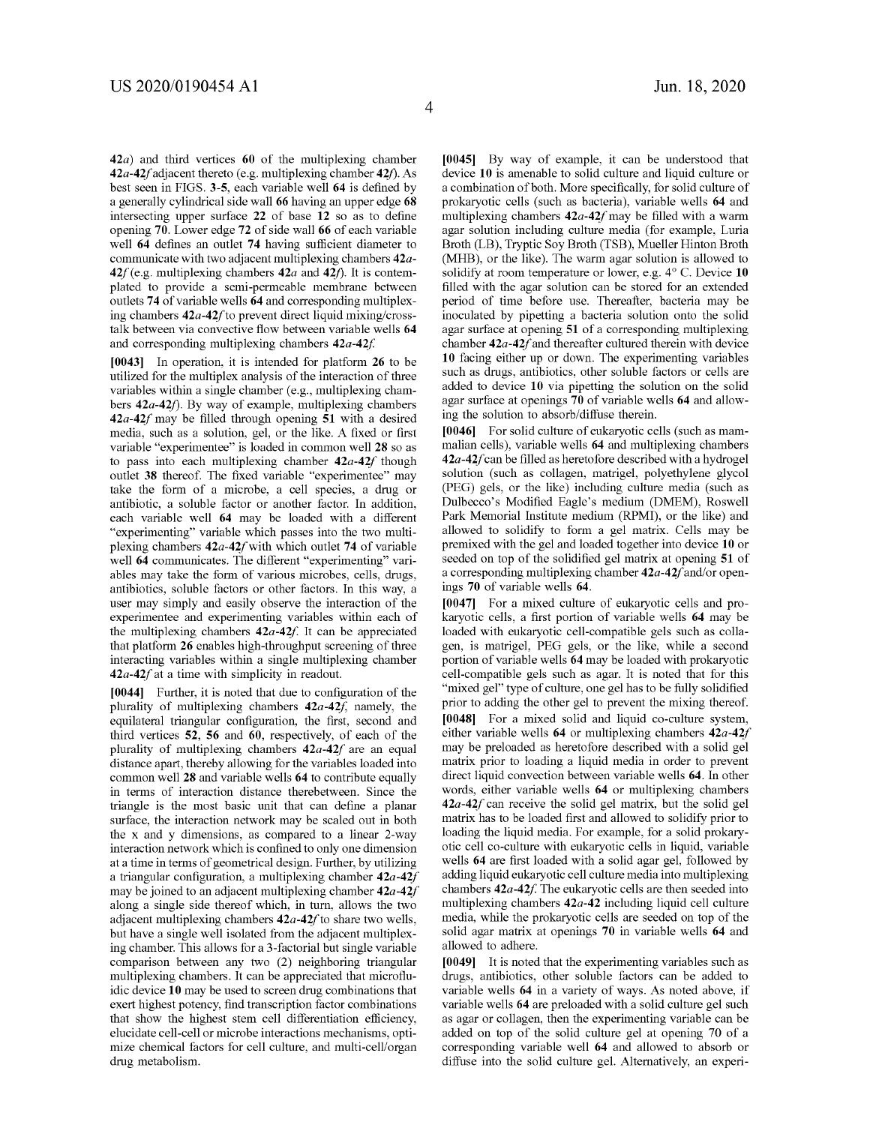**42a)** and third vertices **60** of the multiplexing chamber **42a-42f** adjacent thereto (e.g. multiplexing chamber **42f**). As best seen in FIGS. **3-5,** each variable well **64** is defined by a generally cylindrical side wall **66** having an upper edge **68**  intersecting upper surface **22** of base **12** so as to define opening **70.** Lower edge **72** of side wall **66** of each variable well **64** defines an outlet **74** having sufficient diameter to communicate with two adjacent multiplexing chambers *42a-* $42f$  (e.g. multiplexing chambers  $42a$  and  $42f$ ). It is contemplated to provide a semi-permeable membrane between outlets **74** of variable wells **64** and corresponding multiplexing chambers **42a-42/** to prevent direct liquid mixing/crosstalk between via convective flow between variable wells **64**  and corresponding multiplexing chambers  $42a-42f$ .

**[0043]** In operation, it is intended for platform **26** to be utilized for the multiplex analysis of the interaction of three variables within a single chamber (e.g., multiplexing chambers 42a-42f). By way of example, multiplexing chambers *42a-42f* may be filled through opening **51** with a desired media, such as a solution, gel, or the like. A fixed or first variable "experimentee" is loaded in common well **28** so as to pass into each multiplexing chamber *42a-42f* though outlet **38** thereof. The fixed variable "experimentee" may take the form of a microbe, a cell species, a drug or antibiotic, a soluble factor or another factor. In addition, each variable well **64** may be loaded with a different "experimenting" variable which passes into the two multiplexing chambers **42a-42/with** which outlet **74** of variable well **64** communicates. The different "experimenting" variables may take the form of various microbes, cells, drugs, antibiotics, soluble factors or other factors. In this way, a user may simply and easily observe the interaction of the experimentee and experimenting variables within each of the multiplexing chambers  $42a-42f$ . It can be appreciated that platform **26** enables high-throughput screening of three interacting variables within a single multiplexing chamber *42a-42f* at a time with simplicity in readout.

**[0044]** Further, it is noted that due to configuration of the plurality of multiplexing chambers **42a-42f,** namely, the equilateral triangular configuration, the first, second and third vertices **52, 56** and **60,** respectively, of each of the plurality of multiplexing chambers **42a-42/** are an equal distance apart, thereby allowing for the variables loaded into common well **28** and variable wells **64** to contribute equally in terms of interaction distance therebetween. Since the triangle is the most basic unit that can define a planar surface, the interaction network may be scaled out in both the x and y dimensions, as compared to a linear 2-way interaction network which is confined to only one dimension at a time in terms of geometrical design. Further, by utilizing a triangular configuration, a multiplexing chamber *42a-42f*  may be joined to an adjacent multiplexing chamber *42a-42f*  along a single side thereof which, in turn, allows the two adjacent multiplexing chambers **42a-42/** to share two wells, but have a single well isolated from the adjacent multiplexing chamber. This allows for a 3-factorial but single variable comparison between any two (2) neighboring triangular multiplexing chambers. It can be appreciated that microfluidic device **10** may be used to screen drug combinations that exert highest potency, find transcription factor combinations that show the highest stem cell differentiation efficiency, elucidate cell-cell or microbe interactions mechanisms, optimize chemical factors for cell culture, and multi-cell/organ drug metabolism.

**[0045]** By way of example, it can be understood that device **10** is amenable to solid culture and liquid culture or a combination of both. More specifically, for solid culture of prokaryotic cells (such as bacteria), variable wells **64** and multiplexing chambers **42a-42/** may be filled with a warm agar solution including culture media (for example, Luria Broth (LB), Tryptic Soy Broth (TSB), Mueller Hinton Broth (MHB), or the like). The warm agar solution is allowed to solidify at room temperature or lower, e.g. 4° C. Device 10 filled with the agar solution can be stored for an extended period of time before use. Thereafter, bacteria may be inoculated by pipetting a bacteria solution onto the solid agar surface at opening **51** of a corresponding multiplexing chamber *42a-42f* and thereafter cultured therein with device **10** facing either up or down. The experimenting variables such as drugs, antibiotics, other soluble factors or cells are added to device **10** via pipetting the solution on the solid agar surface at openings **70** of variable wells **64** and allowing the solution to absorb/diffuse therein.

**[0046]** For solid culture of eukaryotic cells (such as mammalian cells), variable wells **64** and multiplexing chambers **42a-42/** can be filled as heretofore described with a hydrogel solution (such as collagen, matrigel, polyethylene glycol (PEG) gels, or the like) including culture media (such as Dulbecco's Modified Eagle's medium (DMEM), Roswell Park Memorial Institute medium (RPMI), or the like) and allowed to solidify to form a gel matrix. Cells may be premixed with the gel and loaded together into device **10** or seeded on top of the solidified gel matrix at opening **51** of a corresponding multiplexing chamber *42a-42f* and/or openings **70** of variable wells **64.** 

**[0047]** For a mixed culture of eukaryotic cells and prokaryotic cells, a first portion of variable wells **64** may be loaded with eukaryotic cell-compatible gels such as collagen, is matrigel, PEG gels, or the like, while a second portion of variable wells **64** may be loaded with prokaryotic cell-compatible gels such as agar. It is noted that for this "mixed gel" type of culture, one gel has to be fully solidified prior to adding the other gel to prevent the mixing thereof. **[0048]** For a mixed solid and liquid co-culture system, either variable wells **64** or multiplexing chambers **42a-42/**  may be preloaded as heretofore described with a solid gel matrix prior to loading a liquid media in order to prevent direct liquid convection between variable wells **64.** In other words, either variable wells **64** or multiplexing chambers **42a-42/** can receive the solid gel matrix, but the solid gel matrix has to be loaded first and allowed to solidify prior to loading the liquid media. For example, for a solid prokaryotic cell co-culture with eukaryotic cells in liquid, variable wells **64** are first loaded with a solid agar gel, followed by adding liquid eukaryotic cell culture media into multiplexing chambers 42*a*-42*f*. The eukaryotic cells are then seeded into multiplexing chambers **42a-42** including liquid cell culture media, while the prokaryotic cells are seeded on top of the solid agar matrix at openings **70** in variable wells **64** and allowed to adhere.

**[0049]** It is noted that the experimenting variables such as drugs, antibiotics, other soluble factors can be added to variable wells **64** in a variety of ways. As noted above, if variable wells **64** are preloaded with a solid culture gel such as agar or collagen, then the experimenting variable can be added on top of the solid culture gel at opening 70 of a corresponding variable well **64** and allowed to absorb or diffuse into the solid culture gel. Alternatively, an experi-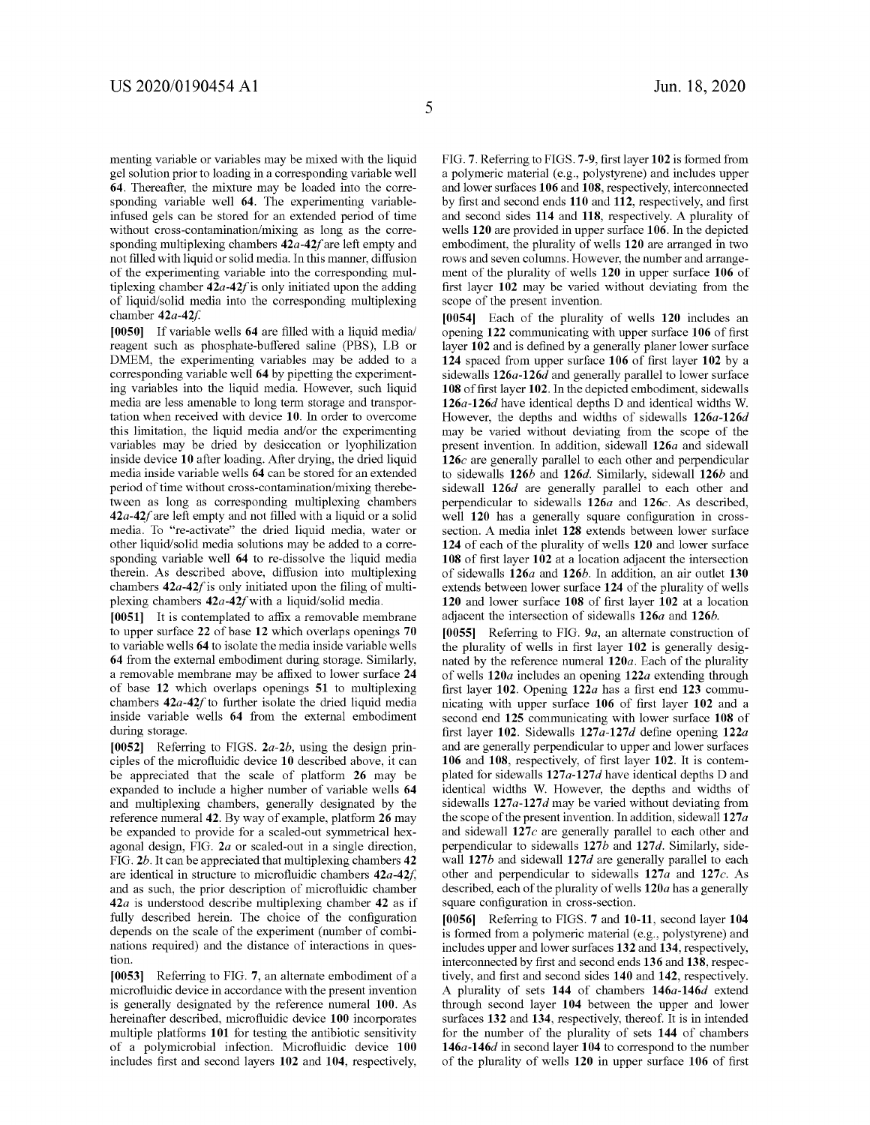menting variable or variables may be mixed with the liquid gel solution prior to loading in a corresponding variable well **64.** Thereafter, the mixture may be loaded into the corresponding variable well **64.** The experimenting variableinfused gels can be stored for an extended period of time without cross-contamination/mixing as long as the corresponding multiplexing chambers **42a-42/** are left empty and not filled with liquid or solid media. In this manner, diffusion of the experimenting variable into the corresponding multiplexing chamber  $42a-42f$  is only initiated upon the adding of liquid/solid media into the corresponding multiplexing chamber *42a-42f* 

**[0050]** If variable wells **64** are filled with a liquid media/ reagent such as phosphate-buffered saline (PBS), LB or DMEM, the experimenting variables may be added to a corresponding variable well **64** by pipetting the experimenting variables into the liquid media. However, such liquid media are less amenable to long term storage and transportation when received with device **10.** In order to overcome this limitation, the liquid media and/or the experimenting variables may be dried by desiccation or lyophilization inside device **10** after loading. After drying, the dried liquid media inside variable wells **64** can be stored for an extended period of time without cross-contamination/mixing therebetween as long as corresponding multiplexing chambers *42a-42f* are left empty and not filled with a liquid or a solid media. To "re-activate" the dried liquid media, water or other liquid/solid media solutions may be added to a corresponding variable well **64** to re-dissolve the liquid media therein. As described above, diffusion into multiplexing chambers **42a-42/** is only initiated upon the filing of multiplexing chambers **42a-42/with** a liquid/solid media.

**[0051]** It is contemplated to affix a removable membrane to upper surface **22** of base **12** which overlaps openings **70**  to variable wells **64** to isolate the media inside variable wells **64** from the external embodiment during storage. Similarly, a removable membrane may be affixed to lower surface **24**  of base **12** which overlaps openings **51** to multiplexing chambers **42a-42/** to further isolate the dried liquid media inside variable wells **64** from the external embodiment during storage.

**[0052]** Referring to FIGS. *2a-2b,* using the design principles of the microfluidic device **10** described above, it can be appreciated that the scale of platform **26** may be expanded to include a higher number of variable wells **64**  and multiplexing chambers, generally designated by the reference numeral **42.** By way of example, platform **26** may be expanded to provide for a scaled-out symmetrical hexagonal design, FIG. *2a* or scaled-out in a single direction, FIG. *2b.* It can be appreciated that multiplexing chambers **42**  are identical in structure to microfluidic chambers **42a-42f,**  and as such, the prior description of microfluidic chamber *42a* is understood describe multiplexing chamber **42** as if fully described herein. The choice of the configuration depends on the scale of the experiment (number of combinations required) and the distance of interactions in question.

**[0053]** Referring to FIG. **7,** an alternate embodiment of a microfluidic device in accordance with the present invention is generally designated by the reference numeral **100.** As hereinafter described, microfluidic device **100** incorporates multiple platforms **101** for testing the antibiotic sensitivity of a polymicrobial infection. Microfluidic device **100**  includes first and second layers **102** and **104,** respectively, FIG. **7.** Referring to FIGS. **7-9,** first layer **102** is formed from a polymeric material (e.g., polystyrene) and includes upper and lower surfaces **106** and **108,** respectively, interconnected by first and second ends **110 and 112,** respectively, and first and second sides **114** and **118,** respectively. A plurality of wells **120** are provided in upper surface **106.** In the depicted embodiment, the plurality of wells **120** are arranged in two rows and seven columns. However, the number and arrangement of the plurality of wells **120** in upper surface **106** of first layer **102** may be varied without deviating from the scope of the present invention.

**[0054]** Each of the plurality of wells **120** includes an opening **122** communicating with upper surface **106** of first layer **102** and is defined by a generally planer lower surface **124** spaced from upper surface **106** of first layer **102** by a sidewalls **126a-126d** and generally parallel to lower surface **108** of first layer **102.** In the depicted embodiment, sidewalls **126a-126d** have identical depths D and identical widths W. However, the depths and widths of sidewalls **126a-126d**  may be varied without deviating from the scope of the present invention. In addition, sidewall **126a** and sidewall **126c** are generally parallel to each other and perpendicular to sidewalls **126b** and **126d.** Similarly, sidewall **126b** and sidewall **126d** are generally parallel to each other and perpendicular to sidewalls **126a** and **126c.** As described, well **120** has a generally square configuration in crosssection. A media inlet **128** extends between lower surface **124** of each of the plurality of wells **120** and lower surface **108** of first layer **102** at a location adjacent the intersection of sidewalls **126a and 126b.** In addition, an air outlet **130**  extends between lower surface **124** of the plurality of wells **120** and lower surface **108** of first layer **102** at a location adjacent the intersection of sidewalls **126a** and **126b.** 

**[0055]** Referring to FIG. *9a,* an alternate construction of the plurality of wells in first layer **102** is generally designated by the reference numeral **120a.** Each of the plurality of wells **120a** includes an opening **122a** extending through first layer **102.** Opening **122a** has a first end **123** communicating with upper surface **106** of first layer **102** and a second end **125** communicating with lower surface **108** of first layer **102.** Sidewalls **127a-127d** define opening **122a**  and are generally perpendicular to upper and lower surfaces **106 and 108,** respectively, of first layer **102.** It is contemplated for sidewalls 127a-127d have identical depths D and identical widths W. However, the depths and widths of sidewalls **127a-127d** may be varied without deviating from the scope of the present invention. In addition, sidewall **127** *a*  and sidewall **127c** are generally parallel to each other and perpendicular to sidewalls **127b and 127d.** Similarly, sidewall **127b** and sidewall **127d** are generally parallel to each other and perpendicular to sidewalls **127a and 127c.** As described, each of the plurality of wells **120a** has a generally square configuration in cross-section.

**[0056]** Referring to FIGS. **7 and 10-11,** second layer **104**  is formed from a polymeric material (e.g., polystyrene) and includes upper and lower surfaces **132** and **134,** respectively, interconnected by first and second ends **136 and 138,** respectively, and first and second sides **140** and **142,** respectively. A plurality of sets **144** of chambers **146a-146d** extend through second layer **104** between the upper and lower surfaces **132** and **134,** respectively, thereof. It is in intended for the number of the plurality of sets **144** of chambers **146a-146d** in second layer **104** to correspond to the number of the plurality of wells **120** in upper surface **106** of first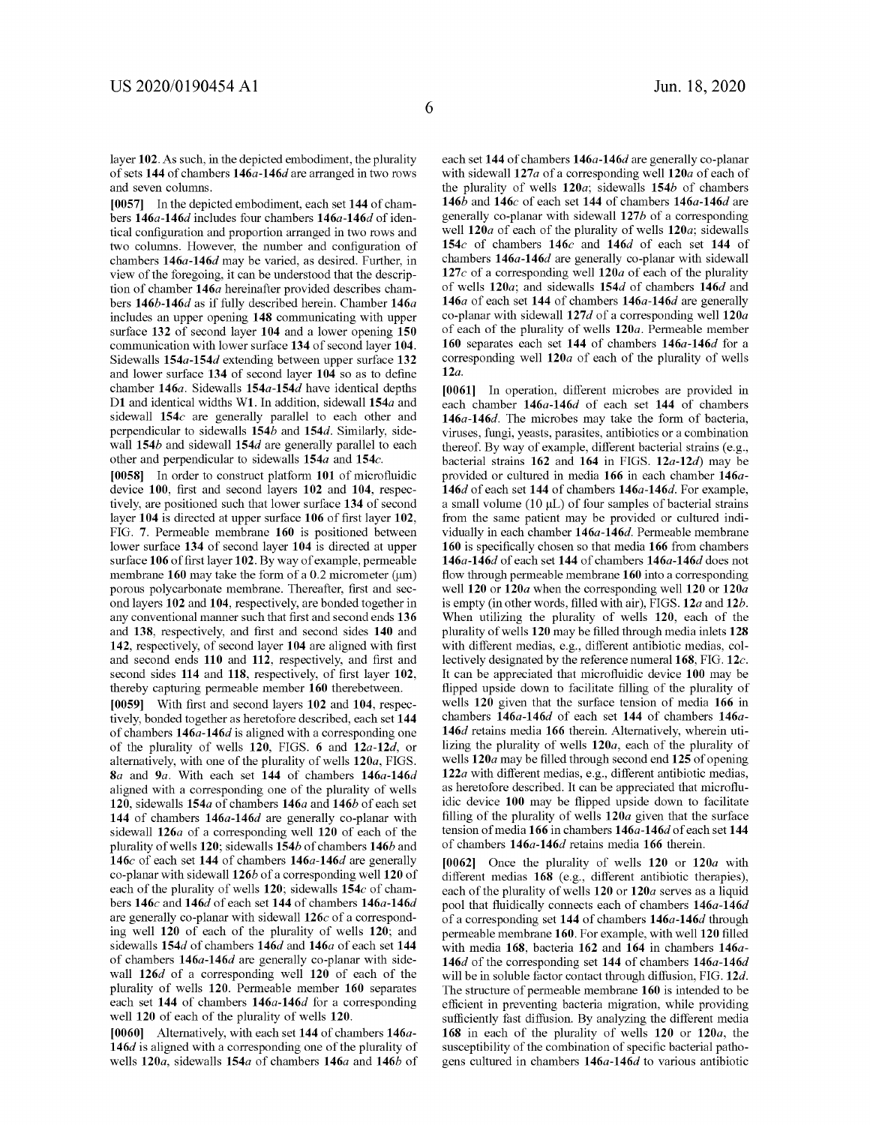layer **102.** As such, in the depicted embodiment, the plurality of sets **144** of chambers **146a-146d** are arranged in two rows and seven colunms.

**[0057]** In the depicted embodiment, each set **144** of chambers **146a-146d** includes four chambers **146a-146d** of identical configuration and proportion arranged in two rows and two columns. However, the number and configuration of chambers **146a-146d** may be varied, as desired. Further, in view of the foregoing, it can be understood that the description of chamber **146a** hereinafter provided describes chambers **146b-146d** as if fully described herein. Chamber **146a**  includes an upper opening **148** communicating with upper surface **132** of second layer **104** and a lower opening **150**  communication with lower surface **134** of second layer **104.**  Sidewalls **154a-154d** extending between upper surface **132**  and lower surface **134** of second layer **104** so as to define chamber **146a.** Sidewalls **154a-154d** have identical depths **Dl** and identical widths **Wl.** In addition, sidewall **154a** and sidewall **154c** are generally parallel to each other and perpendicular to sidewalls **154b and 154d.** Similarly, sidewall **154b** and sidewall **154d** are generally parallel to each other and perpendicular to sidewalls **154a and 154c.** 

**[0058]** In order to construct platform **101** of microfluidic device **100,** first and second layers **102** and **104,** respectively, are positioned such that lower surface **134** of second layer **104** is directed at upper surface **106** of first layer **102,**  FIG. **7.** Permeable membrane **160** is positioned between lower surface **134** of second layer **104** is directed at upper surface **106** of first layer **102.** By way of example, permeable membrane **160** may take the form of a 0.2 micrometer (um) porous polycarbonate membrane. Thereafter, first and second layers **102** and **104,** respectively, are bonded together in any conventional manner such that first and second ends **136**  and **138,** respectively, and first and second sides **140** and **142,** respectively, of second layer **104** are aligned with first and second ends **110 and 112,** respectively, and first and second sides **114** and **118,** respectively, of first layer **102,**  thereby capturing permeable member **160** therebetween.

**[0059]** With first and second layers **102** and **104,** respectively, bonded together as heretofore described, each set **144**  of chambers **146a-146d** is aligned with a corresponding one of the plurality of wells **120,** FIGS. **6** and **12a-12d,** or alternatively, with one of the plurality of wells **120a,** FIGS. *Sa* and *9a.* With each set **144** of chambers **146a-146d**  aligned with a corresponding one of the plurality of wells **120,** sidewalls **154a** of chambers **146a** and **146b** of each set **144** of chambers **146a-146d** are generally co-planar with sidewall **126a** of a corresponding well **120** of each of the plurality of wells **120;** sidewalls **154b** of chambers **146b** and **146c** of each set **144** of chambers **146a-146d** are generally co-planar with sidewall **126b** of a corresponding well **120** of each of the plurality of wells **120;** sidewalls **154c** of chambers **146c** and **146d** of each set **144** of chambers **146a-146d**  are generally co-planar with sidewall **126c** of a corresponding well **120** of each of the plurality of wells **120;** and sidewalls **154d** of chambers **146d and 146a** of each set **144**  of chambers **146a-146d** are generally co-planar with sidewall **126d** of a corresponding well **120** of each of the plurality of wells **120.** Permeable member **160** separates each set **144** of chambers **146a-146d** for a corresponding well **120** of each of the plurality of wells **120.** 

**[0060]** Alternatively, with each set **144** of chambers **146a-146d** is aligned with a corresponding one of the plurality of wells **120a,** sidewalls **154a** of chambers **146a** and **146b** of each set **144** of chambers **146a-146d** are generally co-planar with sidewall 127*a* of a corresponding well 120*a* of each of the plurality of wells **120a;** sidewalls **154b** of chambers **146b** and **146c** of each set **144** of chambers **146a-146d** are generally co-planar with sidewall **127b** of a corresponding well **120a** of each of the plurality of wells **120a;** sidewalls **154c** of chambers **146c** and **146d** of each set **144** of chambers **146a-146d** are generally co-planar with sidewall **127c** of a corresponding well **120a** of each of the plurality of wells **120a;** and sidewalls **154d** of chambers **146d** and **146a** of each set **144** of chambers **146a-146d** are generally co-planar with sidewall **127d** of a corresponding well **120a**  of each of the plurality of wells **120a.** Permeable member **160** separates each set **144** of chambers **146a-146d** for a corresponding well **120a** of each of the plurality of wells **12a.** 

**[0061]** In operation, different microbes are provided in each chamber **146a-146d** of each set **144** of chambers **146a-146d.** The microbes may take the form of bacteria, viruses, fungi, yeasts, parasites, antibiotics or a combination thereof. By way of example, different bacterial strains (e.g., bacterial strains **162** and **164** in FIGS. **12a-12d)** may be provided or cultured in media **166** in each chamber **146a-146d** of each set **144** of chambers **146a-146d.** For example, a small volume  $(10 \mu L)$  of four samples of bacterial strains from the same patient may be provided or cultured individually in each chamber **146a-146d.** Permeable membrane **160** is specifically chosen so that media **166** from chambers **146a-146d** of each set **144** of chambers **146a-146d** does not flow through permeable membrane **160** into a corresponding well **120 or 120a** when the corresponding well **120 or 120a**  is empty (in other words, filled with air), FIGS. **12a and 12b.**  When utilizing the plurality of wells **120,** each of the plurality of wells **120** may be filled through media inlets **128**  with different medias, e.g., different antibiotic medias, collectively designated by the reference numeral **168,** FIG. **12c.**  It can be appreciated that microfluidic device **100** may be flipped upside down to facilitate filling of the plurality of wells **120** given that the surface tension of media **166** in chambers **146a-146d** of each set **144** of chambers **146a-146d** retains media **166** therein. Alternatively, wherein utilizing the plurality of wells **120a,** each of the plurality of wells **120a** may be filled through second end **125** of opening **122a** with different medias, e.g., different antibiotic medias, as heretofore described. It can be appreciated that microfluidic device **100** may be flipped upside down to facilitate filling of the plurality of wells **120a** given that the surface tension of media **166** in chambers **146a-146d** of each set **144**  of chambers **146a-146d** retains media **166** therein.

**[0062]** Once the plurality of wells **120 or 120a** with different medias **168** (e.g., different antibiotic therapies), each of the plurality of wells **120 or 120a** serves as a liquid pool that fluidically connects each of chambers **146a-146d**  of a corresponding set **144** of chambers **146a-146d** through permeable membrane **160.** For example, with well **120** filled with media **168,** bacteria **162** and **164** in chambers **146a-146d** of the corresponding set **144** of chambers **146a-146d**  will be in soluble factor contact through diffusion, FIG. **12d.**  The structure of permeable membrane **160** is intended to be efficient in preventing bacteria migration, while providing sufficiently fast diffusion. By analyzing the different media **168** in each of the plurality of wells **120 or 120a,** the susceptibility of the combination of specific bacterial pathogens cultured in chambers **146a-146d** to various antibiotic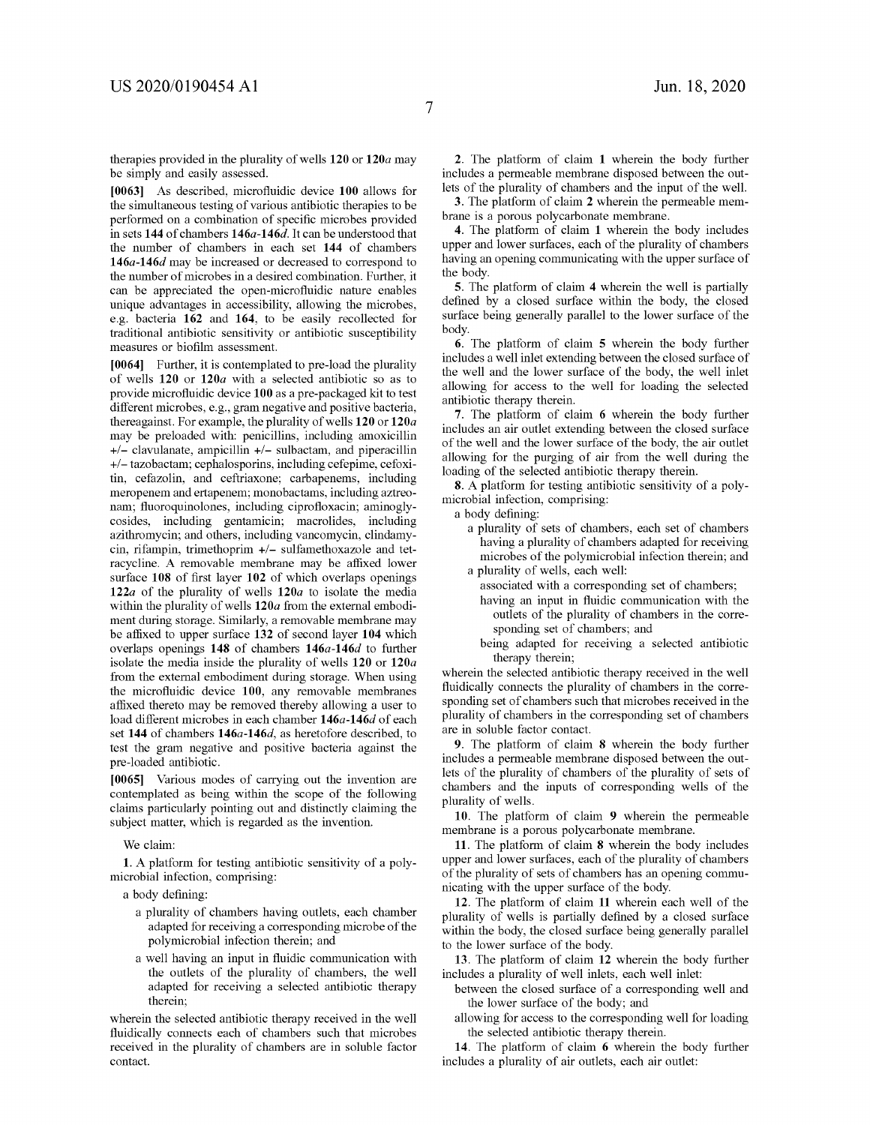therapies provided in the plurality of wells **120 or 120a** may be simply and easily assessed.

**[0063]** As described, microfluidic device **100** allows for the simultaneous testing of various antibiotic therapies to be performed on a combination of specific microbes provided in sets **144** of chambers **146a-146d.** It can be understood that the number of chambers in each set **144** of chambers **146a-146d** may be increased or decreased to correspond to the number of microbes in a desired combination. Further, it can be appreciated the open-microfluidic nature enables unique advantages in accessibility, allowing the microbes, e.g. bacteria **162** and **164,** to be easily recollected for traditional antibiotic sensitivity or antibiotic susceptibility measures or biofilm assessment.

**[0064]** Further, it is contemplated to pre-load the plurality of wells **120 or 120a** with a selected antibiotic so as to provide microfluidic device **100** as a pre-packaged kit to test different microbes, e.g., gram negative and positive bacteria, thereagainst. For example, the plurality of wells **120 or 120a**  may be preloaded with: penicillins, including amoxicillin  $+/-$  clavulanate, ampicillin  $+/-$  sulbactam, and piperacillin +/- tazobactam; cephalosporins, including cefepime, cefoxitin, cefazolin, and ceftriaxone; carbapenems, including meropenem and ertapenem; monobactams, including aztreonam; fluoroquinolones, including ciprofloxacin; aminoglycosides, including gentamicin; macrolides, including azithromycin; and others, including vancomycin, clindamycin, rifampin, trimethoprim +/- sulfamethoxazole and tetracycline. A removable membrane may be affixed lower surface **108** of first layer **102** of which overlaps openings **122a** of the plurality of wells **120a** to isolate the media within the plurality of wells **120a** from the external embodiment during storage. Similarly, a removable membrane may be affixed to upper surface **132** of second layer **104** which overlaps openings **148** of chambers **146a-146d** to further isolate the media inside the plurality of wells **120 or 120a**  from the external embodiment during storage. When using the microfluidic device **100,** any removable membranes affixed thereto may be removed thereby allowing a user to load different microbes in each chamber **146a-146d** of each set **144** of chambers **146a-146d,** as heretofore described, to test the gram negative and positive bacteria against the pre-loaded antibiotic.

**[0065]** Various modes of carrying out the invention are contemplated as being within the scope of the following claims particularly pointing out and distinctly claiming the subject matter, which is regarded as the invention.

We claim:

**1.** A platform for testing antibiotic sensitivity of a polymicrobial infection, comprising:

a body defining:

- a plurality of chambers having outlets, each chamber adapted for receiving a corresponding microbe of the polymicrobial infection therein; and
- a well having an input in fluidic communication with the outlets of the plurality of chambers, the well adapted for receiving a selected antibiotic therapy therein;

wherein the selected antibiotic therapy received in the well fluidically connects each of chambers such that microbes received in the plurality of chambers are in soluble factor contact.

**2.** The platform of claim **1** wherein the body further includes a permeable membrane disposed between the outlets of the plurality of chambers and the input of the well.

**3.** The platform of claim **2** wherein the permeable membrane is a porous polycarbonate membrane.

**4.** The platform of claim **1** wherein the body includes upper and lower surfaces, each of the plurality of chambers having an opening communicating with the upper surface of the body.

**5.** The platform of claim **4** wherein the well is partially defined by a closed surface within the body, the closed surface being generally parallel to the lower surface of the body.

**6.** The platform of claim **5** wherein the body further includes a well inlet extending between the closed surface of the well and the lower surface of the body, the well inlet allowing for access to the well for loading the selected antibiotic therapy therein.

**7.** The platform of claim **6** wherein the body further includes an air outlet extending between the closed surface of the well and the lower surface of the body, the air outlet allowing for the purging of air from the well during the loading of the selected antibiotic therapy therein.

**8.** A platform for testing antibiotic sensitivity of a polymicrobial infection, comprising:

a body defining:

a plurality of sets of chambers, each set of chambers having a plurality of chambers adapted for receiving microbes of the polymicrobial infection therein; and a plurality of wells, each well:

associated with a corresponding set of chambers;

- having an input in fluidic communication with the
	- outlets of the plurality of chambers in the corresponding set of chambers; and
- being adapted for receiving a selected antibiotic therapy therein;

wherein the selected antibiotic therapy received in the well fluidically connects the plurality of chambers in the corresponding set of chambers such that microbes received in the plurality of chambers in the corresponding set of chambers are in soluble factor contact.

**9.** The platform of claim **8** wherein the body further includes a permeable membrane disposed between the outlets of the plurality of chambers of the plurality of sets of chambers and the inputs of corresponding wells of the plurality of wells.

**10.** The platform of claim **9** wherein the permeable membrane is a porous polycarbonate membrane.

**11.** The platform of claim **8** wherein the body includes upper and lower surfaces, each of the plurality of chambers of the plurality of sets of chambers has an opening communicating with the upper surface of the body.

**12.** The platform of claim **11** wherein each well of the plurality of wells is partially defined by a closed surface within the body, the closed surface being generally parallel to the lower surface of the body.

**13.** The platform of claim **12** wherein the body further includes a plurality of well inlets, each well inlet:

- between the closed surface of a corresponding well and the lower surface of the body; and
- allowing for access to the corresponding well for loading the selected antibiotic therapy therein.

**14.** The platform of claim **6** wherein the body further includes a plurality of air outlets, each air outlet: